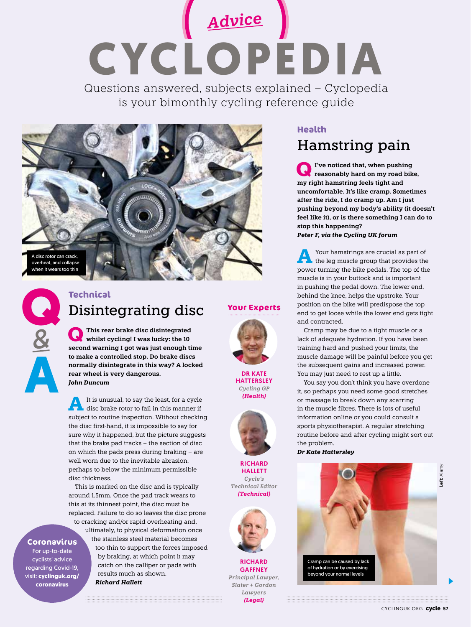## *Advice* **CYCLOPEDIA** Questions answered, subjects explained – Cyclopedia

is your bimonthly cycling reference guide



# **Q A** *&*

### **Technical** Disintegrating disc

 **QThis rear brake disc disintegrated whilst cycling! I was lucky: the 10 second warning I got was just enough time to make a controlled stop. Do brake discs normally disintegrate in this way? A locked rear wheel is very dangerous.** *John Duncum*

**A**It is unusual, to say the least, for a cycle disc brake rotor to fail in this manner if subject to routine inspection. Without checking the disc first-hand, it is impossible to say for sure why it happened, but the picture suggests that the brake pad tracks – the section of disc on which the pads press during braking – are well worn due to the inevitable abrasion, perhaps to below the minimum permissible disc thickness.

This is marked on the disc and is typically around 1.5mm. Once the pad track wears to this at its thinnest point, the disc must be replaced. Failure to do so leaves the disc prone

#### **Coronavirus**

For up-to-date cyclists' advice regarding Covid-19, visit: **cyclinguk.org/ coronavirus**

to cracking and/or rapid overheating and, ultimately, to physical deformation once the stainless steel material becomes too thin to support the forces imposed by braking, at which point it may catch on the calliper or pads with results much as shown. *Richard Hallett*

### **Your Experts**



DR KATE **HATTERSLEY** *Cycling GP {Health}*



**RICHARD HALLETT** *Cycle's Technical Editor {Technical}* 



**RICHARD GAFFNEY** *Principal Lawyer, Slater + Gordon Lawyers {Legal}*

#### **Health**

### Hamstring pain

 **QI've noticed that, when pushing reasonably hard on my road bike, my right hamstring feels tight and uncomfortable. It's like cramp. Sometimes after the ride, I do cramp up. Am I just pushing beyond my body's ability (it doesn't feel like it), or is there something I can do to stop this happening?** *Peter F, via the Cycling UK forum*

**A**Your hamstrings are crucial as part of the leg muscle group that provides the power turning the bike pedals. The top of the muscle is in your buttock and is important in pushing the pedal down. The lower end, behind the knee, helps the upstroke. Your position on the bike will predispose the top end to get loose while the lower end gets tight and contracted.

Cramp may be due to a tight muscle or a lack of adequate hydration. If you have been training hard and pushed your limits, the muscle damage will be painful before you get the subsequent gains and increased power. You may just need to rest up a little.

You say you don't think you have overdone it, so perhaps you need some good stretches or massage to break down any scarring in the muscle fibres. There is lots of useful information online or you could consult a sports physiotherapist. A regular stretching routine before and after cycling might sort out the problem.

*Dr Kate Hattersley*



Left: Alamy

Alamy €Ë